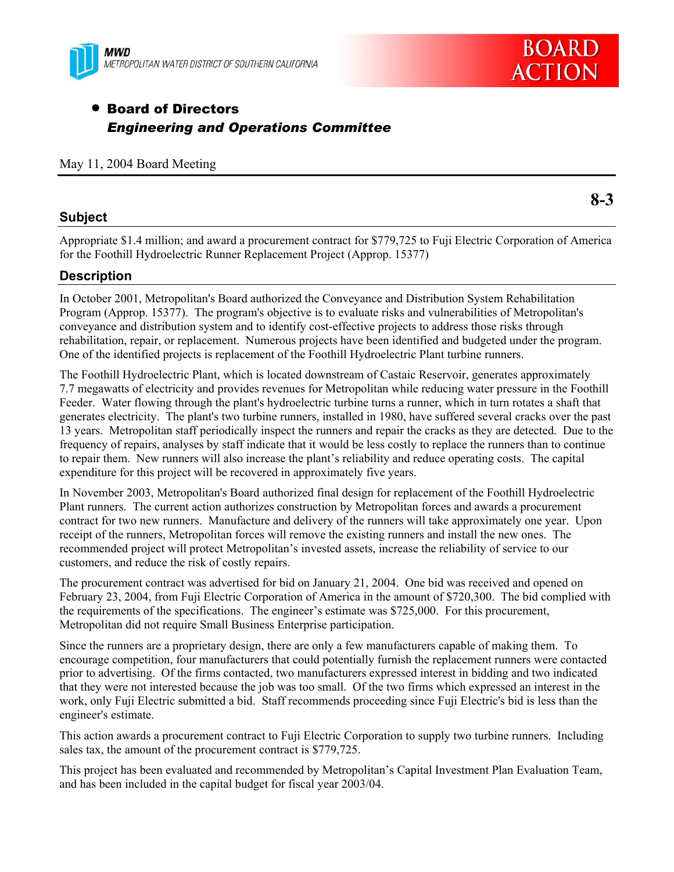

# • Board of Directors *Engineering and Operations Committee*

#### **Subject**

Appropriate \$1.4 million; and award a procurement contract for \$779,725 to Fuji Electric Corporation of America for the Foothill Hydroelectric Runner Replacement Project (Approp. 15377)

#### **Description**

In October 2001, Metropolitan's Board authorized the Conveyance and Distribution System Rehabilitation Program (Approp. 15377). The program's objective is to evaluate risks and vulnerabilities of Metropolitan's conveyance and distribution system and to identify cost-effective projects to address those risks through rehabilitation, repair, or replacement. Numerous projects have been identified and budgeted under the program. One of the identified projects is replacement of the Foothill Hydroelectric Plant turbine runners.

The Foothill Hydroelectric Plant, which is located downstream of Castaic Reservoir, generates approximately 7.7 megawatts of electricity and provides revenues for Metropolitan while reducing water pressure in the Foothill Feeder. Water flowing through the plant's hydroelectric turbine turns a runner, which in turn rotates a shaft that generates electricity. The plant's two turbine runners, installed in 1980, have suffered several cracks over the past 13 years. Metropolitan staff periodically inspect the runners and repair the cracks as they are detected. Due to the frequency of repairs, analyses by staff indicate that it would be less costly to replace the runners than to continue to repair them. New runners will also increase the plant's reliability and reduce operating costs. The capital expenditure for this project will be recovered in approximately five years.

In November 2003, Metropolitan's Board authorized final design for replacement of the Foothill Hydroelectric Plant runners. The current action authorizes construction by Metropolitan forces and awards a procurement contract for two new runners. Manufacture and delivery of the runners will take approximately one year. Upon receipt of the runners, Metropolitan forces will remove the existing runners and install the new ones. The recommended project will protect Metropolitan's invested assets, increase the reliability of service to our customers, and reduce the risk of costly repairs.

The procurement contract was advertised for bid on January 21, 2004. One bid was received and opened on February 23, 2004, from Fuji Electric Corporation of America in the amount of \$720,300. The bid complied with the requirements of the specifications. The engineer's estimate was \$725,000. For this procurement, Metropolitan did not require Small Business Enterprise participation.

Since the runners are a proprietary design, there are only a few manufacturers capable of making them. To encourage competition, four manufacturers that could potentially furnish the replacement runners were contacted prior to advertising. Of the firms contacted, two manufacturers expressed interest in bidding and two indicated that they were not interested because the job was too small. Of the two firms which expressed an interest in the work, only Fuji Electric submitted a bid. Staff recommends proceeding since Fuji Electric's bid is less than the engineer's estimate.

This action awards a procurement contract to Fuji Electric Corporation to supply two turbine runners. Including sales tax, the amount of the procurement contract is \$779,725.

This project has been evaluated and recommended by Metropolitan's Capital Investment Plan Evaluation Team, and has been included in the capital budget for fiscal year 2003/04.

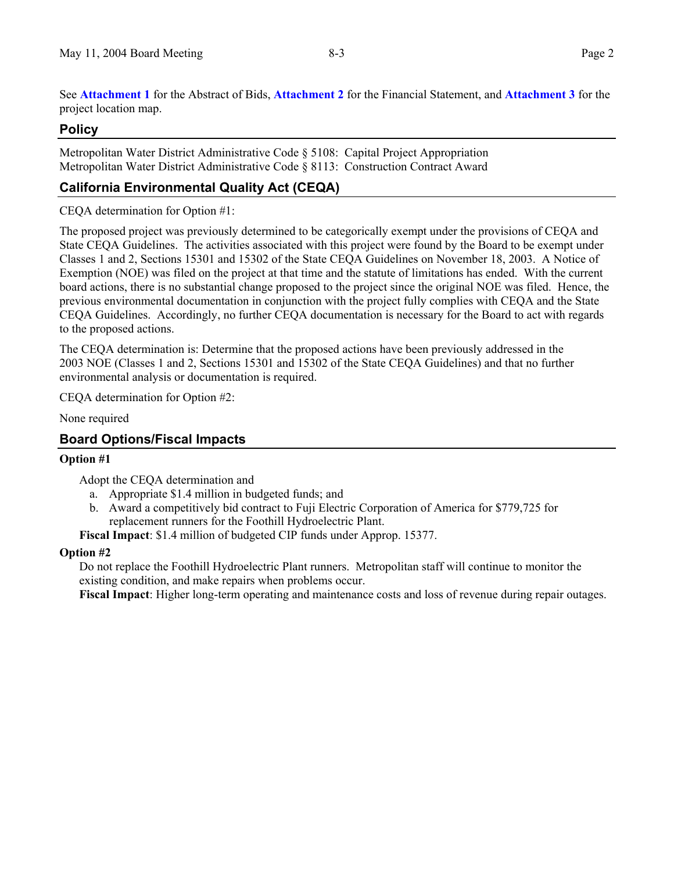See **Attachment 1** for the Abstract of Bids, **Attachment 2** for the Financial Statement, and **Attachment 3** for the project location map.

#### **Policy**

Metropolitan Water District Administrative Code § 5108: Capital Project Appropriation Metropolitan Water District Administrative Code § 8113: Construction Contract Award

## **California Environmental Quality Act (CEQA)**

#### CEQA determination for Option #1:

The proposed project was previously determined to be categorically exempt under the provisions of CEQA and State CEQA Guidelines. The activities associated with this project were found by the Board to be exempt under Classes 1 and 2, Sections 15301 and 15302 of the State CEQA Guidelines on November 18, 2003. A Notice of Exemption (NOE) was filed on the project at that time and the statute of limitations has ended. With the current board actions, there is no substantial change proposed to the project since the original NOE was filed. Hence, the previous environmental documentation in conjunction with the project fully complies with CEQA and the State CEQA Guidelines. Accordingly, no further CEQA documentation is necessary for the Board to act with regards to the proposed actions.

The CEQA determination is: Determine that the proposed actions have been previously addressed in the 2003 NOE (Classes 1 and 2, Sections 15301 and 15302 of the State CEQA Guidelines) and that no further environmental analysis or documentation is required.

CEQA determination for Option #2:

None required

#### **Board Options/Fiscal Impacts**

#### **Option #1**

Adopt the CEQA determination and

- a. Appropriate \$1.4 million in budgeted funds; and
- b. Award a competitively bid contract to Fuji Electric Corporation of America for \$779,725 for replacement runners for the Foothill Hydroelectric Plant.

**Fiscal Impact**: \$1.4 million of budgeted CIP funds under Approp. 15377.

#### **Option #2**

Do not replace the Foothill Hydroelectric Plant runners. Metropolitan staff will continue to monitor the existing condition, and make repairs when problems occur.

**Fiscal Impact**: Higher long-term operating and maintenance costs and loss of revenue during repair outages.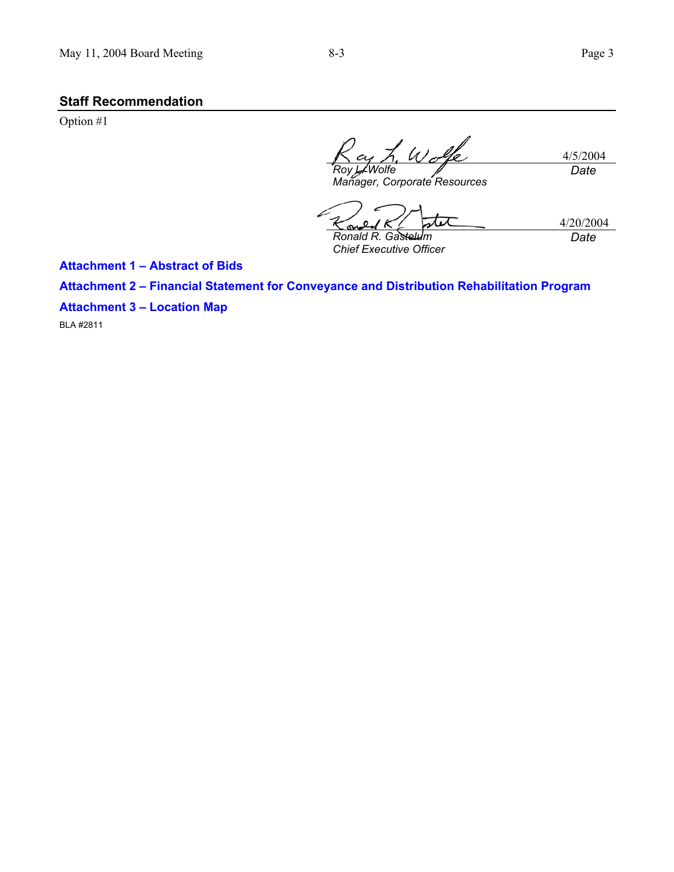## **Staff Recommendation**

Option #1

L Wolfe 4/5/2004 *Roy L. Wolfe Date Manager, Corporate Resources* 

4/20/2004 *Date* 

*Ronald R. Gastelum Chief Executive Officer*

**Attachment 1 – Abstract of Bids** 

**Attachment 2 – Financial Statement for Conveyance and Distribution Rehabilitation Program** 

S

**Attachment 3 – Location Map** 

BLA #2811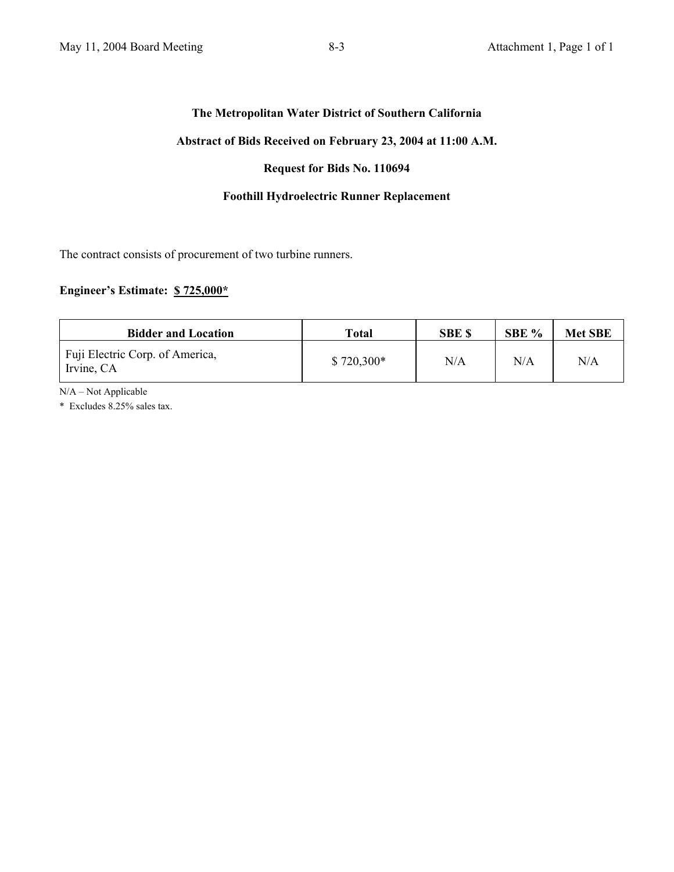#### **The Metropolitan Water District of Southern California**

#### **Abstract of Bids Received on February 23, 2004 at 11:00 A.M.**

#### **Request for Bids No. 110694**

#### **Foothill Hydroelectric Runner Replacement**

The contract consists of procurement of two turbine runners.

#### **Engineer's Estimate: \$ 725,000\***

| <b>Bidder and Location</b>                    | Total       | <b>SBE \$</b> | SBE % | <b>Met SBE</b> |
|-----------------------------------------------|-------------|---------------|-------|----------------|
| Fuji Electric Corp. of America,<br>Irvine, CA | $$720,300*$ | N/A           | N/A   | N/A            |

N/A – Not Applicable

\* Excludes 8.25% sales tax.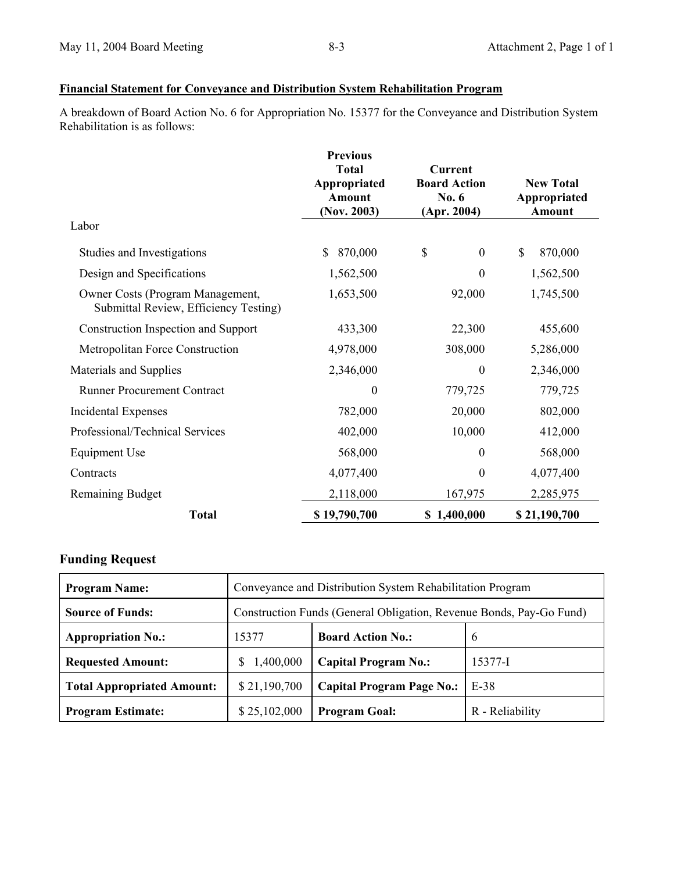### **Financial Statement for Conveyance and Distribution System Rehabilitation Program**

A breakdown of Board Action No. 6 for Appropriation No. 15377 for the Conveyance and Distribution System Rehabilitation is as follows:

|                                                                           | <b>Previous</b><br><b>Total</b><br>Appropriated<br>Amount<br>(Nov. 2003) | <b>Current</b><br><b>Board Action</b><br>No. 6<br>(Apr. 2004) | <b>New Total</b><br>Appropriated<br>Amount |  |
|---------------------------------------------------------------------------|--------------------------------------------------------------------------|---------------------------------------------------------------|--------------------------------------------|--|
| Labor                                                                     |                                                                          |                                                               |                                            |  |
| Studies and Investigations                                                | 870,000<br>\$                                                            | \$<br>$\mathbf{0}$                                            | \$<br>870,000                              |  |
| Design and Specifications                                                 | 1,562,500                                                                | $\theta$                                                      | 1,562,500                                  |  |
| Owner Costs (Program Management,<br>Submittal Review, Efficiency Testing) | 1,653,500                                                                | 92,000                                                        | 1,745,500                                  |  |
| Construction Inspection and Support                                       | 433,300                                                                  | 22,300                                                        | 455,600                                    |  |
| Metropolitan Force Construction                                           | 4,978,000                                                                | 308,000                                                       | 5,286,000                                  |  |
| Materials and Supplies                                                    | 2,346,000                                                                | $\boldsymbol{0}$                                              | 2,346,000                                  |  |
| <b>Runner Procurement Contract</b>                                        | $\boldsymbol{0}$                                                         | 779,725                                                       | 779,725                                    |  |
| <b>Incidental Expenses</b>                                                | 782,000                                                                  | 20,000                                                        | 802,000                                    |  |
| Professional/Technical Services                                           | 402,000                                                                  | 10,000                                                        | 412,000                                    |  |
| Equipment Use                                                             | 568,000                                                                  | $\theta$                                                      | 568,000                                    |  |
| Contracts                                                                 | 4,077,400                                                                | $\boldsymbol{0}$                                              | 4,077,400                                  |  |
| <b>Remaining Budget</b>                                                   | 2,118,000                                                                | 167,975                                                       | 2,285,975                                  |  |
| <b>Total</b>                                                              | \$19,790,700                                                             | \$1,400,000                                                   | \$21,190,700                               |  |

# **Funding Request**

| <b>Program Name:</b>              | Conveyance and Distribution System Rehabilitation Program           |                                  |                 |  |
|-----------------------------------|---------------------------------------------------------------------|----------------------------------|-----------------|--|
| <b>Source of Funds:</b>           | Construction Funds (General Obligation, Revenue Bonds, Pay-Go Fund) |                                  |                 |  |
| <b>Appropriation No.:</b>         | 15377                                                               | <b>Board Action No.:</b>         | 6               |  |
| <b>Requested Amount:</b>          | 1,400,000<br>S.                                                     | <b>Capital Program No.:</b>      | 15377-I         |  |
| <b>Total Appropriated Amount:</b> | \$21,190,700                                                        | <b>Capital Program Page No.:</b> | E-38            |  |
| <b>Program Estimate:</b>          | \$25,102,000                                                        | <b>Program Goal:</b>             | R - Reliability |  |